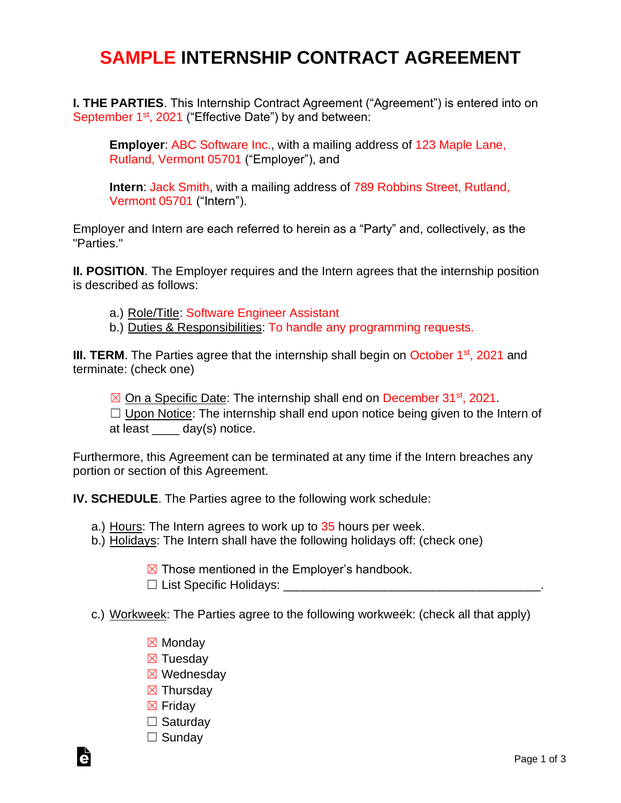## **SAMPLE INTERNSHIP CONTRACT AGREEMENT**

**I. THE PARTIES**. This Internship Contract Agreement ("Agreement") is entered into on September 1<sup>st</sup>, 2021 ("Effective Date") by and between:

**Employer**: ABC Software Inc., with a mailing address of 123 Maple Lane, Rutland, Vermont 05701 ("Employer"), and

**Intern**: Jack Smith, with a mailing address of 789 Robbins Street, Rutland, Vermont 05701 ("Intern").

Employer and Intern are each referred to herein as a "Party" and, collectively, as the "Parties."

**II. POSITION**. The Employer requires and the Intern agrees that the internship position is described as follows:

- a.) Role/Title: Software Engineer Assistant
- b.) Duties & Responsibilities: To handle any programming requests.

III. TERM. The Parties agree that the internship shall begin on October 1<sup>st</sup>, 2021 and terminate: (check one)

⊠ On a Specific Date: The internship shall end on December 31<sup>st</sup>, 2021.  $\Box$  Upon Notice: The internship shall end upon notice being given to the Intern of

at least \_\_\_\_ day(s) notice.

Furthermore, this Agreement can be terminated at any time if the Intern breaches any portion or section of this Agreement.

**IV. SCHEDULE**. The Parties agree to the following work schedule:

- a.) Hours: The Intern agrees to work up to 35 hours per week.
- b.) Holidays: The Intern shall have the following holidays off: (check one)
	- $\boxtimes$  Those mentioned in the Employer's handbook.
	- $\Box$  List Specific Holidays:
- c.) Workweek: The Parties agree to the following workweek: (check all that apply)
	- ☒ Monday
	- ☒ Tuesday
	- ☒ Wednesday
	- ☒ Thursday
	- ☒ Friday
	- □ Saturday
	- □ Sunday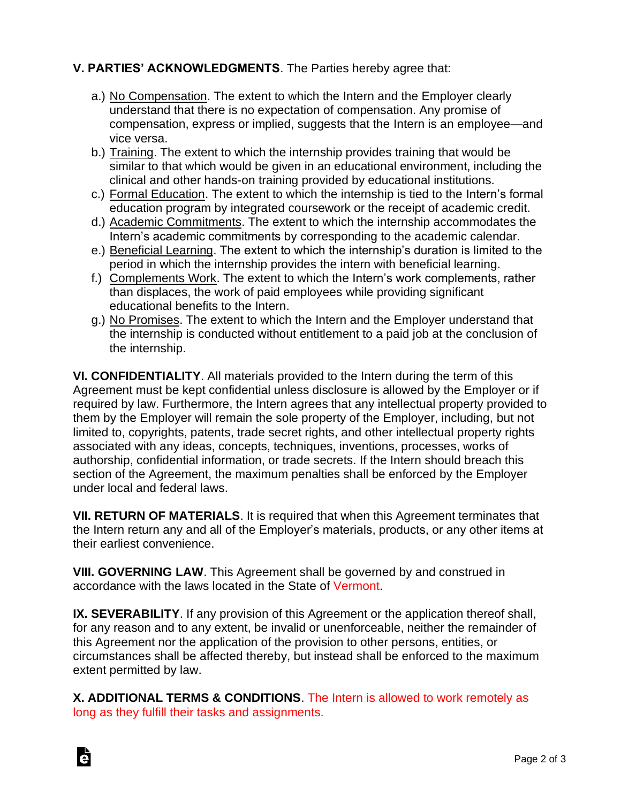## **V. PARTIES' ACKNOWLEDGMENTS**. The Parties hereby agree that:

- a.) No Compensation. The extent to which the Intern and the Employer clearly understand that there is no expectation of compensation. Any promise of compensation, express or implied, suggests that the Intern is an employee—and vice versa.
- b.) Training. The extent to which the internship provides training that would be similar to that which would be given in an educational environment, including the clinical and other hands-on training provided by educational institutions.
- c.) Formal Education. The extent to which the internship is tied to the Intern's formal education program by integrated coursework or the receipt of academic credit.
- d.) Academic Commitments. The extent to which the internship accommodates the Intern's academic commitments by corresponding to the academic calendar.
- e.) Beneficial Learning. The extent to which the internship's duration is limited to the period in which the internship provides the intern with beneficial learning.
- f.) Complements Work. The extent to which the Intern's work complements, rather than displaces, the work of paid employees while providing significant educational benefits to the Intern.
- g.) No Promises. The extent to which the Intern and the Employer understand that the internship is conducted without entitlement to a paid job at the conclusion of the internship.

**VI. CONFIDENTIALITY**. All materials provided to the Intern during the term of this Agreement must be kept confidential unless disclosure is allowed by the Employer or if required by law. Furthermore, the Intern agrees that any intellectual property provided to them by the Employer will remain the sole property of the Employer, including, but not limited to, copyrights, patents, trade secret rights, and other intellectual property rights associated with any ideas, concepts, techniques, inventions, processes, works of authorship, confidential information, or trade secrets. If the Intern should breach this section of the Agreement, the maximum penalties shall be enforced by the Employer under local and federal laws.

**VII. RETURN OF MATERIALS**. It is required that when this Agreement terminates that the Intern return any and all of the Employer's materials, products, or any other items at their earliest convenience.

**VIII. GOVERNING LAW**. This Agreement shall be governed by and construed in accordance with the laws located in the State of Vermont.

**IX. SEVERABILITY**. If any provision of this Agreement or the application thereof shall, for any reason and to any extent, be invalid or unenforceable, neither the remainder of this Agreement nor the application of the provision to other persons, entities, or circumstances shall be affected thereby, but instead shall be enforced to the maximum extent permitted by law.

**X. ADDITIONAL TERMS & CONDITIONS**. The Intern is allowed to work remotely as long as they fulfill their tasks and assignments.

Ġ